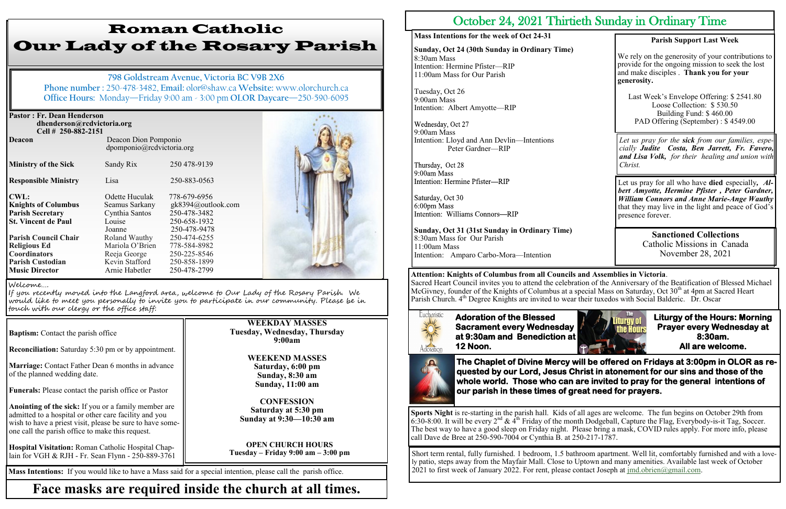| <b>Pastor: Fr. Dean Henderson</b><br>dhenderson@rcdvictoria.org<br>Cell # 250-882-2151 |                                                   |                    |  |
|----------------------------------------------------------------------------------------|---------------------------------------------------|--------------------|--|
| <b>Deacon</b>                                                                          | Deacon Dion Pomponio<br>dpomponio@rcdvictoria.org |                    |  |
| <b>Ministry of the Sick</b>                                                            | Sandy Rix                                         | 250 478-9139       |  |
| <b>Responsible Ministry</b>                                                            | Lisa                                              | 250-883-0563       |  |
| <b>CWL:</b>                                                                            | Odette Huculak                                    | 778-679-6956       |  |
| <b>Knights of Columbus</b>                                                             | Seamus Sarkany                                    | gk8394@outlook.com |  |
| <b>Parish Secretary</b>                                                                | Cynthia Santos                                    | 250-478-3482       |  |
| <b>St. Vincent de Paul</b>                                                             | Louise                                            | 250-658-1932       |  |
|                                                                                        | Joanne                                            | 250-478-9478       |  |
| <b>Parish Council Chair</b>                                                            | Roland Wauthy                                     | 250-474-6255       |  |
| <b>Religious Ed</b>                                                                    | Mariola O'Brien                                   | 778-584-8982       |  |
| <b>Coordinators</b>                                                                    | Reeja George                                      | 250-225-8546       |  |
| <b>Parish Custodian</b>                                                                | Kevin Stafford                                    | 250-858-1899       |  |
| <b>Music Director</b>                                                                  | Arnie Habetler                                    | 250-478-2799       |  |

**Reconciliation:** Saturday 5:30 pm or by appointment.

**Marriage:** Contact Father Dean 6 months in advance of the planned wedding date.

**Funerals:** Please contact the parish office or Pastor

**Anointing of the sick:** If you or a family member are admitted to a hospital or other care facility and you wish to have a priest visit, please be sure to have someone call the parish office to make this request.

**Hospital Visitation:** Roman Catholic Hospital Chaplain for VGH & RJH - Fr. Sean Flynn - 250-889-3761

# Roman Catholic Our Lady of the Rosary Parish

**798 Goldstream Avenue, Victoria BC V9B 2X6 Phone number :** 250-478-3482, **Email:** olor@shaw.ca **Website:** www.olorchurch.ca **Office Hours:** Monday—Friday 9:00 am - 3:00 pm **OLOR Daycare**—250-590-6095

Last Week's Envelope Offering: \$ 2541.80 Loose Collection: \$ 530.50 Building Fund: \$ 460.00 PAD Offering (September) : \$4549.00

**WEEKDAY MASSES Tuesday, Wednesday, Thursday 9:00am**

> **WEEKEND MASSES Saturday, 6:00 pm Sunday, 8:30 am Sunday, 11:00 am**

**CONFESSION Saturday at 5:30 pm Sunday at 9:30—10:30 am**

**OPEN CHURCH HOURS Tuesday – Friday 9:00 am – 3:00 pm**



If you recently moved into the Langford area, welcome to Our Lady of the Rosary Parish. We would like to meet you personally to invite you to participate in our community. Please be in touch with our clergy or the office staff:

**Baptism:** Contact the parish office

**Attention: Knights of Columbus from all Councils and Assemblies in Victoria**. Sacred Heart Council invites you to attend the celebration of the Anniversary of the Beatification of Blessed Michael McGivney, founder of the Knights of Columbus at a special Mass on Saturday, Oct 30<sup>th</sup> at 4pm at Sacred Heart Parish Church. 4<sup>th</sup> Degree Knights are invited to wear their tuxedos with Social Balderic. Dr. Oscar



**Mass Intentions:** If you would like to have a Mass said for a special intention, please call the parish office.

## **Face masks are required inside the church at all times.**

## October 24, 2021 Thirtieth Sunday in Ordinary Time

### **Mass Intentions for the week of Oct 24-31**

**Sunday, Oct 24 (30th Sunday in Ordinary Time)** 8:30am Mass Intention: Hermine Pfister—RIP 11:00am Mass for Our Parish

Tuesday, Oct 26 9:00am Mass Intention: Albert Amyotte—RIP

9:00am Mass Intention: Lloyd and Ann Devlin—Intentions Peter Gardner—RIP

Thursday, Oct 28 9:00am Mass Intention: Hermine Pfister-RIP

Saturday, Oct 30 6:00pm Mass Intention: Williams Connors-RIP

**Sunday, Oct 31 (31st Sunday in Ordinary Time)** 8:30am Mass for Our Parish 11:00am Mass Intention: Amparo Carbo-Mora—Intention

### **Parish Support Last Week**

We rely on the generosity of your contributions to provide for the ongoing mission to seek the lost and make disciples . **Thank you for your generosity.**

**Adoration of the Blessed Sacrament every Wednesday at 9:30am and Benediction at 12 Noon.** 



**Liturgy of the Hours: Morning Prayer every Wednesday at 8:30am. All are welcome.** 

*Let us pray for the sick from our families, especially Judite Costa, Ben Jarrett, Fr. Favero, and Lisa Volk, for their healing and union with Christ.*

Let us pray for all who have **died** especially*, Albert Amyotte, Hermine Pfister , Peter Gardner, William Connors and Anne Marie-Ange Wauthy*  that they may live in the light and peace of God's presence forever.

**The Chaplet of Divine Mercy will be offered on Fridays at 3:00pm in OLOR as requested by our Lord, Jesus Christ in atonement for our sins and those of the whole world. Those who can are invited to pray for the general intentions of our parish in these times of great need for prayers.** 

**Sports Night** is re-starting in the parish hall. Kids of all ages are welcome. The fun begins on October 29th from 6:30-8:00. It will be every 2<sup>nd</sup> & 4<sup>th</sup> Friday of the month Dodgeball, Capture the Flag, Everybody-is-it Tag, Soccer. The best way to have a good sleep on Friday night. Please bring a mask, COVID rules apply. For more info, please call Dave de Bree at 250-590-7004 or Cynthia B. at 250-217-1787.

Short term rental, fully furnished. 1 bedroom, 1.5 bathroom apartment. Well lit, comfortably furnished and with a lovely patio, steps away from the Mayfair Mall. Close to Uptown and many amenities. Available last week of October 2021 to first week of January 2022. For rent, please contact Joseph at [jmd.obrien@gmail.com.](mailto:jmd.obrien@gmail.com)

**Sanctioned Collections**  Catholic Missions in Canada November 28, 2021